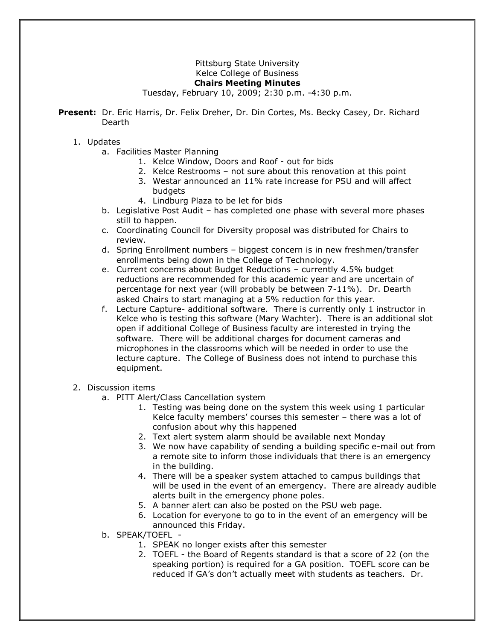## Pittsburg State University Kelce College of Business **Chairs Meeting Minutes**

Tuesday, February 10, 2009; 2:30 p.m. -4:30 p.m.

**Present:** Dr. Eric Harris, Dr. Felix Dreher, Dr. Din Cortes, Ms. Becky Casey, Dr. Richard Dearth

## 1. Updates

- a. Facilities Master Planning
	- 1. Kelce Window, Doors and Roof out for bids
	- 2. Kelce Restrooms not sure about this renovation at this point
	- 3. Westar announced an 11% rate increase for PSU and will affect budgets
	- 4. Lindburg Plaza to be let for bids
- b. Legislative Post Audit has completed one phase with several more phases still to happen.
- c. Coordinating Council for Diversity proposal was distributed for Chairs to review.
- d. Spring Enrollment numbers biggest concern is in new freshmen/transfer enrollments being down in the College of Technology.
- e. Current concerns about Budget Reductions currently 4.5% budget reductions are recommended for this academic year and are uncertain of percentage for next year (will probably be between 7-11%). Dr. Dearth asked Chairs to start managing at a 5% reduction for this year.
- f. Lecture Capture- additional software. There is currently only 1 instructor in Kelce who is testing this software (Mary Wachter). There is an additional slot open if additional College of Business faculty are interested in trying the software. There will be additional charges for document cameras and microphones in the classrooms which will be needed in order to use the lecture capture. The College of Business does not intend to purchase this equipment.

## 2. Discussion items

- a. PITT Alert/Class Cancellation system
	- 1. Testing was being done on the system this week using 1 particular Kelce faculty members' courses this semester – there was a lot of confusion about why this happened
	- 2. Text alert system alarm should be available next Monday
	- 3. We now have capability of sending a building specific e-mail out from a remote site to inform those individuals that there is an emergency in the building.
	- 4. There will be a speaker system attached to campus buildings that will be used in the event of an emergency. There are already audible alerts built in the emergency phone poles.
	- 5. A banner alert can also be posted on the PSU web page.
	- 6. Location for everyone to go to in the event of an emergency will be announced this Friday.
- b. SPEAK/TOEFL
	- 1. SPEAK no longer exists after this semester
	- 2. TOEFL the Board of Regents standard is that a score of 22 (on the speaking portion) is required for a GA position. TOEFL score can be reduced if GA's don't actually meet with students as teachers. Dr.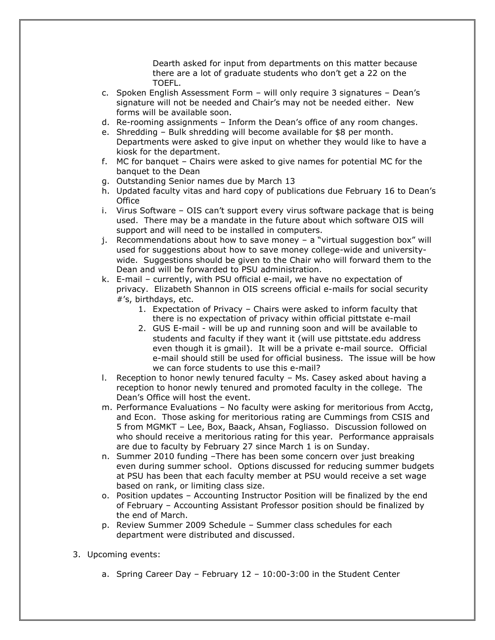Dearth asked for input from departments on this matter because there are a lot of graduate students who don't get a 22 on the TOEFL.

- c. Spoken English Assessment Form will only require 3 signatures Dean's signature will not be needed and Chair's may not be needed either. New forms will be available soon.
- d. Re-rooming assignments Inform the Dean's office of any room changes.
- e. Shredding Bulk shredding will become available for \$8 per month. Departments were asked to give input on whether they would like to have a kiosk for the department.
- f. MC for banquet Chairs were asked to give names for potential MC for the banquet to the Dean
- g. Outstanding Senior names due by March 13
- h. Updated faculty vitas and hard copy of publications due February 16 to Dean's **Office**
- i. Virus Software OIS can't support every virus software package that is being used. There may be a mandate in the future about which software OIS will support and will need to be installed in computers.
- j. Recommendations about how to save money a "virtual suggestion box" will used for suggestions about how to save money college-wide and universitywide. Suggestions should be given to the Chair who will forward them to the Dean and will be forwarded to PSU administration.
- k. E-mail currently, with PSU official e-mail, we have no expectation of privacy. Elizabeth Shannon in OIS screens official e-mails for social security #'s, birthdays, etc.
	- 1. Expectation of Privacy Chairs were asked to inform faculty that there is no expectation of privacy within official pittstate e-mail
	- 2. GUS E-mail will be up and running soon and will be available to students and faculty if they want it (will use pittstate.edu address even though it is gmail). It will be a private e-mail source. Official e-mail should still be used for official business. The issue will be how we can force students to use this e-mail?
- l. Reception to honor newly tenured faculty Ms. Casey asked about having a reception to honor newly tenured and promoted faculty in the college. The Dean's Office will host the event.
- m. Performance Evaluations No faculty were asking for meritorious from Acctg, and Econ. Those asking for meritorious rating are Cummings from CSIS and 5 from MGMKT – Lee, Box, Baack, Ahsan, Fogliasso. Discussion followed on who should receive a meritorious rating for this year. Performance appraisals are due to faculty by February 27 since March 1 is on Sunday.
- n. Summer 2010 funding –There has been some concern over just breaking even during summer school. Options discussed for reducing summer budgets at PSU has been that each faculty member at PSU would receive a set wage based on rank, or limiting class size.
- o. Position updates Accounting Instructor Position will be finalized by the end of February – Accounting Assistant Professor position should be finalized by the end of March.
- p. Review Summer 2009 Schedule Summer class schedules for each department were distributed and discussed.
- 3. Upcoming events:
	- a. Spring Career Day February 12 10:00-3:00 in the Student Center